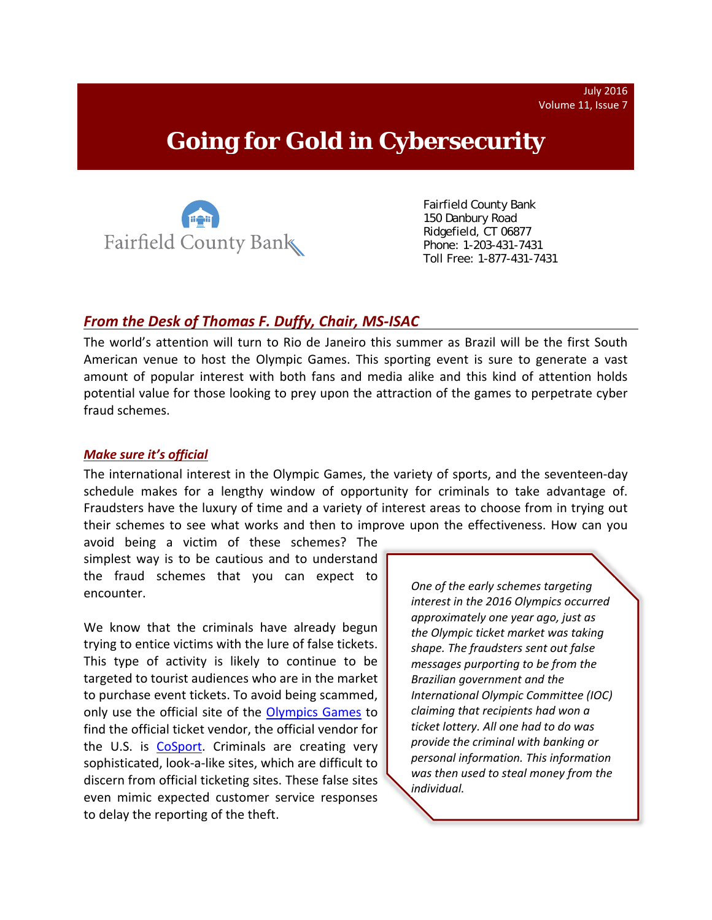July 2016 Volume 11, Issue 7

# **Going for Gold in Cybersecurity**



 Fairfield County Bank 150 Danbury Road Ridgefield, CT 06877 Phone: 1-203-431-7431 Toll Free: 1-877-431-7431

## *From the Desk of Thomas F. Duffy, Chair, MS‐ISAC*

The world's attention will turn to Rio de Janeiro this summer as Brazil will be the first South American venue to host the Olympic Games. This sporting event is sure to generate a vast amount of popular interest with both fans and media alike and this kind of attention holds potential value for those looking to prey upon the attraction of the games to perpetrate cyber fraud schemes.

#### *Make sure it's official*

The international interest in the Olympic Games, the variety of sports, and the seventeen‐day schedule makes for a lengthy window of opportunity for criminals to take advantage of. Fraudsters have the luxury of time and a variety of interest areas to choose from in trying out their schemes to see what works and then to improve upon the effectiveness. How can you

avoid being a victim of these schemes? The simplest way is to be cautious and to understand the fraud schemes that you can expect to encounter.

We know that the criminals have already begun trying to entice victims with the lure of false tickets. This type of activity is likely to continue to be targeted to tourist audiences who are in the market to purchase event tickets. To avoid being scammed, only use the official site of the Olympics Games to find the official ticket vendor, the official vendor for the U.S. is CoSport. Criminals are creating very sophisticated, look‐a‐like sites, which are difficult to discern from official ticketing sites. These false sites even mimic expected customer service responses to delay the reporting of the theft.

*One of the early schemes targeting interest in the 2016 Olympics occurred approximately one year ago, just as the Olympic ticket market was taking shape. The fraudsters sent out false messages purporting to be from the Brazilian government and the International Olympic Committee (IOC) claiming that recipients had won a ticket lottery. All one had to do was provide the criminal with banking or personal information. This information was then used to steal money from the individual.*